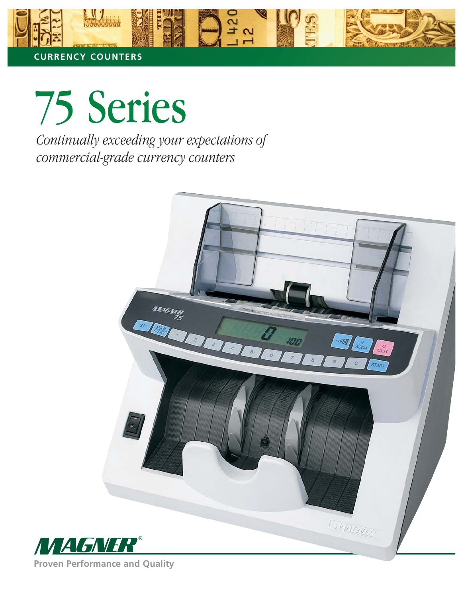

75 Series *Continually exceeding your expectations of commercial-grade currency counters*



**Proven Performance and Quality**